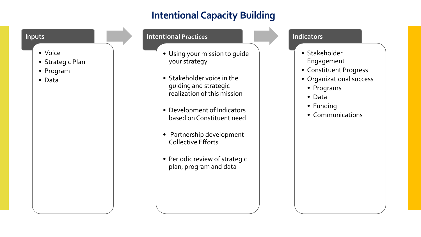# **Intentional Capacity Building**

## **Inputs**

- Voice
- Strategic Plan
- Program
- Data

#### **Intentional Practices**

- Using your mission to guide your strategy
- Stakeholder voice in the guiding and strategic realization of this mission
- Development of Indicators based on Constituent need
- Partnership development Collective Efforts
- Periodic review of strategic plan, program and data

### **Indicators**

- Stakeholder Engagement
- Constituent Progress
- Organizational success
	- Programs
	- Data
	- Funding
	- Communications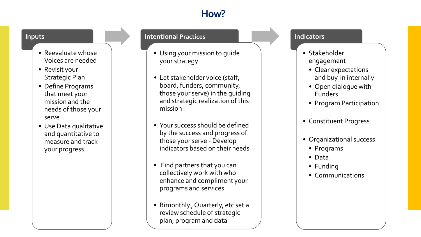# **How?**

#### **Inputs**

- Reevaluate whose Voices are needed
- Revisit your Strategic Plan
- Define Programs that meet your mission and the needs of those your serve
- Use Data qualitative and quantitative to measure and track your progress

### **Intentional Practices**

- Using your mission to guide your strategy
- Let stakeholder voice (staff, board, funders, community, those your serve) in the guiding and strategic realization of this mission
- Your success should be defined by the success and progress of those your serve - Develop indicators based on their needs
- Find partners that you can collectively work with who enhance and compliment your programs and services
- Bimonthly , Quarterly, etc set a review schedule of strategic plan, program and data

## **Indicators**

- Stakeholder engagement
	- Clear expectations and buy-in internally
	- Open dialogue with Funders
	- Program Participation
- Constituent Progress
- Organizational success
	- Programs
	- Data
	- Funding
	- Communications